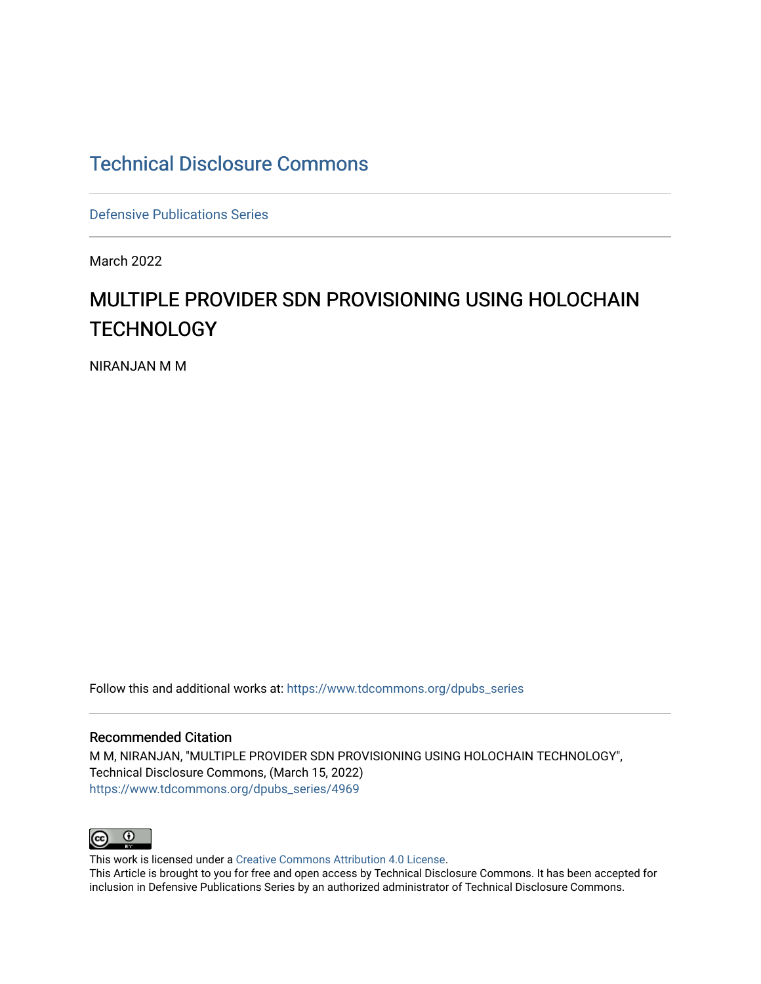## [Technical Disclosure Commons](https://www.tdcommons.org/)

[Defensive Publications Series](https://www.tdcommons.org/dpubs_series)

March 2022

# MULTIPLE PROVIDER SDN PROVISIONING USING HOLOCHAIN **TECHNOLOGY**

NIRANJAN M M

Follow this and additional works at: [https://www.tdcommons.org/dpubs\\_series](https://www.tdcommons.org/dpubs_series?utm_source=www.tdcommons.org%2Fdpubs_series%2F4969&utm_medium=PDF&utm_campaign=PDFCoverPages) 

#### Recommended Citation

M M, NIRANJAN, "MULTIPLE PROVIDER SDN PROVISIONING USING HOLOCHAIN TECHNOLOGY", Technical Disclosure Commons, (March 15, 2022) [https://www.tdcommons.org/dpubs\\_series/4969](https://www.tdcommons.org/dpubs_series/4969?utm_source=www.tdcommons.org%2Fdpubs_series%2F4969&utm_medium=PDF&utm_campaign=PDFCoverPages)



This work is licensed under a [Creative Commons Attribution 4.0 License](http://creativecommons.org/licenses/by/4.0/deed.en_US).

This Article is brought to you for free and open access by Technical Disclosure Commons. It has been accepted for inclusion in Defensive Publications Series by an authorized administrator of Technical Disclosure Commons.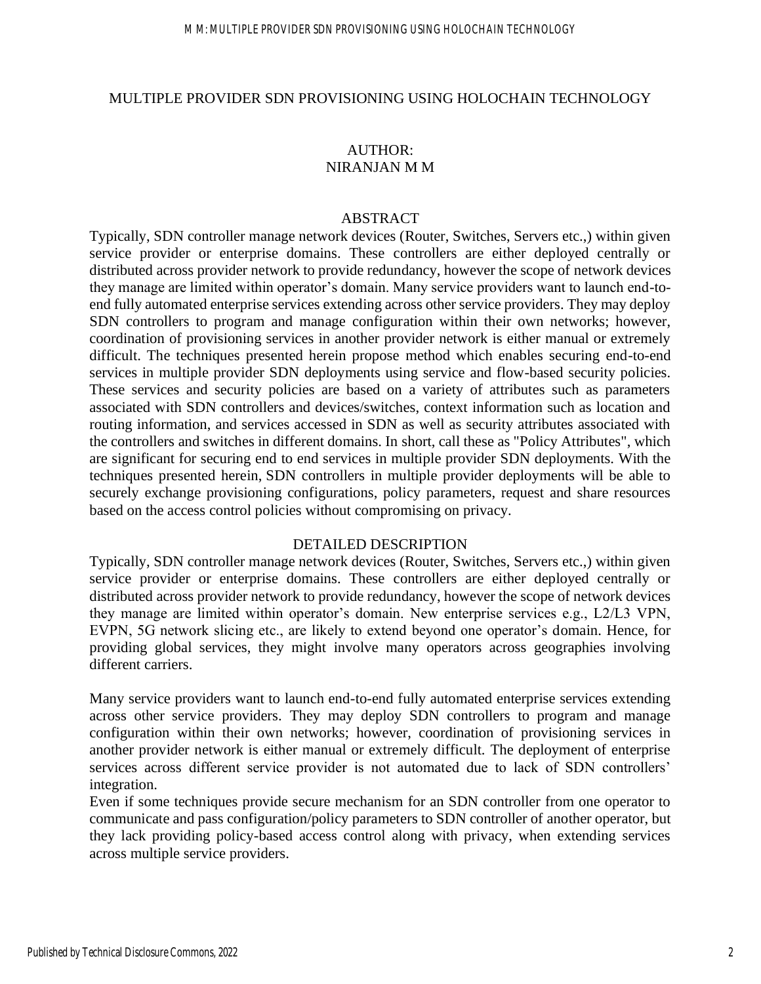#### MULTIPLE PROVIDER SDN PROVISIONING USING HOLOCHAIN TECHNOLOGY

### AUTHOR: NIRANJAN M M

#### ABSTRACT

Typically, SDN controller manage network devices (Router, Switches, Servers etc.,) within given service provider or enterprise domains. These controllers are either deployed centrally or distributed across provider network to provide redundancy, however the scope of network devices they manage are limited within operator's domain. Many service providers want to launch end-toend fully automated enterprise services extending across other service providers. They may deploy SDN controllers to program and manage configuration within their own networks; however, coordination of provisioning services in another provider network is either manual or extremely difficult. The techniques presented herein propose method which enables securing end-to-end services in multiple provider SDN deployments using service and flow-based security policies. These services and security policies are based on a variety of attributes such as parameters associated with SDN controllers and devices/switches, context information such as location and routing information, and services accessed in SDN as well as security attributes associated with the controllers and switches in different domains. In short, call these as "Policy Attributes", which are significant for securing end to end services in multiple provider SDN deployments. With the techniques presented herein, SDN controllers in multiple provider deployments will be able to securely exchange provisioning configurations, policy parameters, request and share resources based on the access control policies without compromising on privacy.

#### DETAILED DESCRIPTION

Typically, SDN controller manage network devices (Router, Switches, Servers etc.,) within given service provider or enterprise domains. These controllers are either deployed centrally or distributed across provider network to provide redundancy, however the scope of network devices they manage are limited within operator's domain. New enterprise services e.g., L2/L3 VPN, EVPN, 5G network slicing etc., are likely to extend beyond one operator's domain. Hence, for providing global services, they might involve many operators across geographies involving different carriers.

Many service providers want to launch end-to-end fully automated enterprise services extending across other service providers. They may deploy SDN controllers to program and manage configuration within their own networks; however, coordination of provisioning services in another provider network is either manual or extremely difficult. The deployment of enterprise services across different service provider is not automated due to lack of SDN controllers' integration.

Even if some techniques provide secure mechanism for an SDN controller from one operator to communicate and pass configuration/policy parameters to SDN controller of another operator, but they lack providing policy-based access control along with privacy, when extending services across multiple service providers.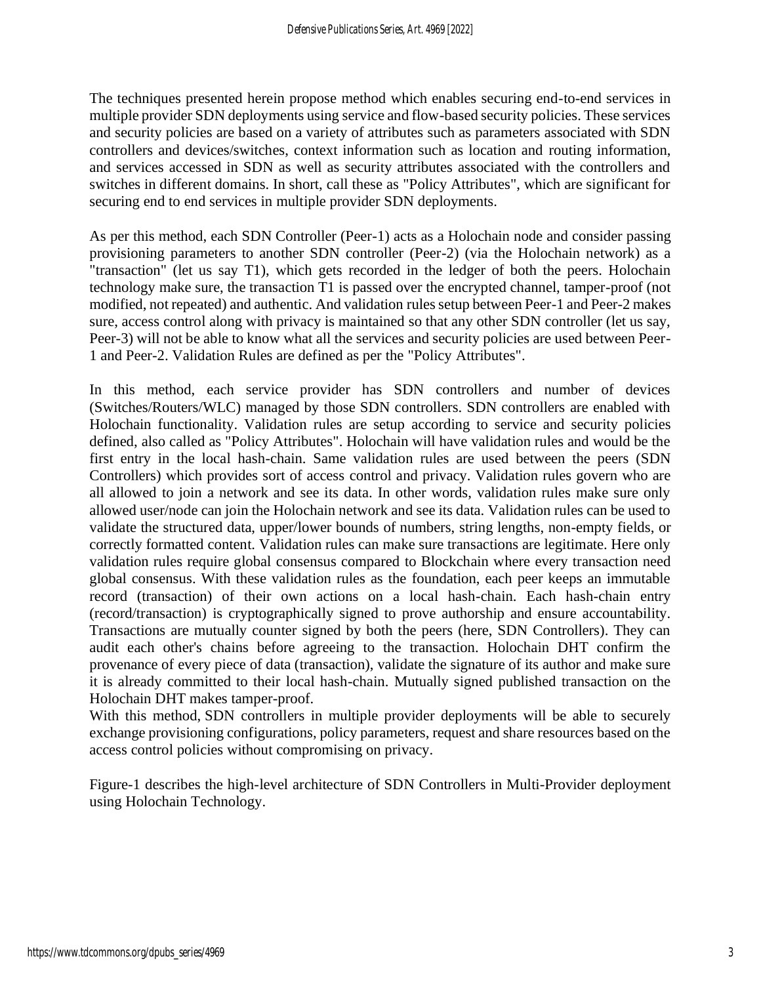The techniques presented herein propose method which enables securing end-to-end services in multiple provider SDN deployments using service and flow-based security policies. These services and security policies are based on a variety of attributes such as parameters associated with SDN controllers and devices/switches, context information such as location and routing information, and services accessed in SDN as well as security attributes associated with the controllers and switches in different domains. In short, call these as "Policy Attributes", which are significant for securing end to end services in multiple provider SDN deployments.

As per this method, each SDN Controller (Peer-1) acts as a Holochain node and consider passing provisioning parameters to another SDN controller (Peer-2) (via the Holochain network) as a "transaction" (let us say T1), which gets recorded in the ledger of both the peers. Holochain technology make sure, the transaction T1 is passed over the encrypted channel, tamper-proof (not modified, not repeated) and authentic. And validation rules setup between Peer-1 and Peer-2 makes sure, access control along with privacy is maintained so that any other SDN controller (let us say, Peer-3) will not be able to know what all the services and security policies are used between Peer-1 and Peer-2. Validation Rules are defined as per the "Policy Attributes".

In this method, each service provider has SDN controllers and number of devices (Switches/Routers/WLC) managed by those SDN controllers. SDN controllers are enabled with Holochain functionality. Validation rules are setup according to service and security policies defined, also called as "Policy Attributes". Holochain will have validation rules and would be the first entry in the local hash-chain. Same validation rules are used between the peers (SDN Controllers) which provides sort of access control and privacy. Validation rules govern who are all allowed to join a network and see its data. In other words, validation rules make sure only allowed user/node can join the Holochain network and see its data. Validation rules can be used to validate the structured data, upper/lower bounds of numbers, string lengths, non-empty fields, or correctly formatted content. Validation rules can make sure transactions are legitimate. Here only validation rules require global consensus compared to Blockchain where every transaction need global consensus. With these validation rules as the foundation, each peer keeps an immutable record (transaction) of their own actions on a local hash-chain. Each hash-chain entry (record/transaction) is cryptographically signed to prove authorship and ensure accountability. Transactions are mutually counter signed by both the peers (here, SDN Controllers). They can audit each other's chains before agreeing to the transaction. Holochain DHT confirm the provenance of every piece of data (transaction), validate the signature of its author and make sure it is already committed to their local hash-chain. Mutually signed published transaction on the Holochain DHT makes tamper-proof.

With this method, SDN controllers in multiple provider deployments will be able to securely exchange provisioning configurations, policy parameters, request and share resources based on the access control policies without compromising on privacy.

Figure-1 describes the high-level architecture of SDN Controllers in Multi-Provider deployment using Holochain Technology.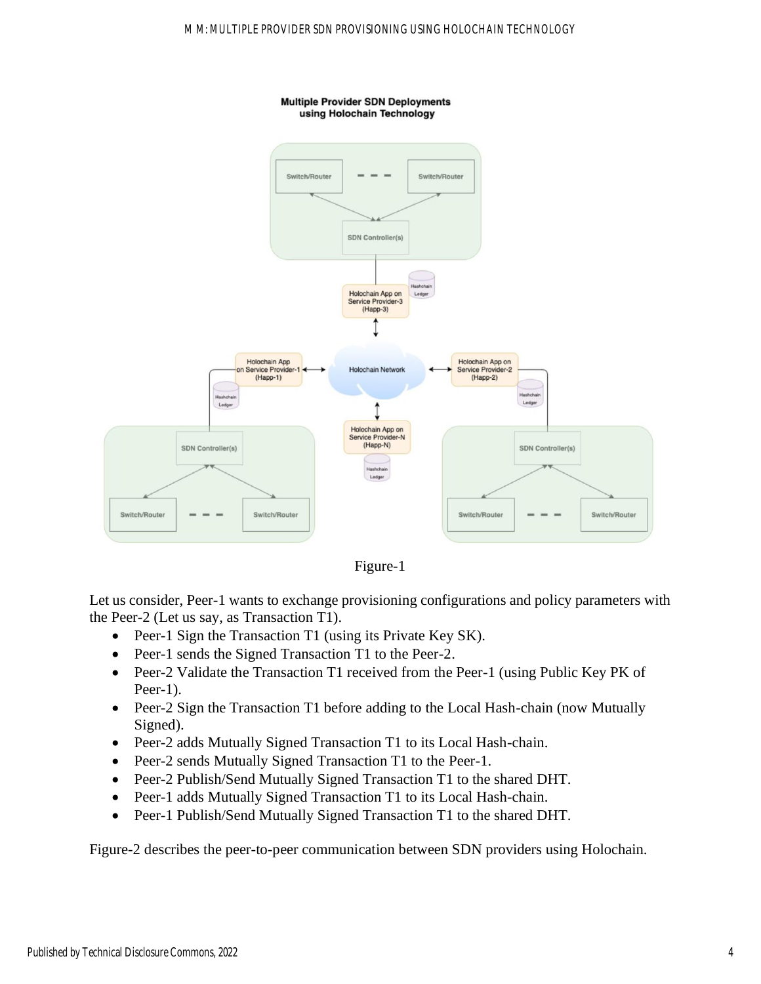



Let us consider, Peer-1 wants to exchange provisioning configurations and policy parameters with the Peer-2 (Let us say, as Transaction T1).

- Peer-1 Sign the Transaction T1 (using its Private Key SK).
- Peer-1 sends the Signed Transaction T1 to the Peer-2.
- Peer-2 Validate the Transaction T1 received from the Peer-1 (using Public Key PK of Peer-1).
- Peer-2 Sign the Transaction T1 before adding to the Local Hash-chain (now Mutually Signed).
- Peer-2 adds Mutually Signed Transaction T1 to its Local Hash-chain.
- Peer-2 sends Mutually Signed Transaction T1 to the Peer-1.
- Peer-2 Publish/Send Mutually Signed Transaction T1 to the shared DHT.
- Peer-1 adds Mutually Signed Transaction T1 to its Local Hash-chain.
- Peer-1 Publish/Send Mutually Signed Transaction T1 to the shared DHT.

Figure-2 describes the peer-to-peer communication between SDN providers using Holochain.